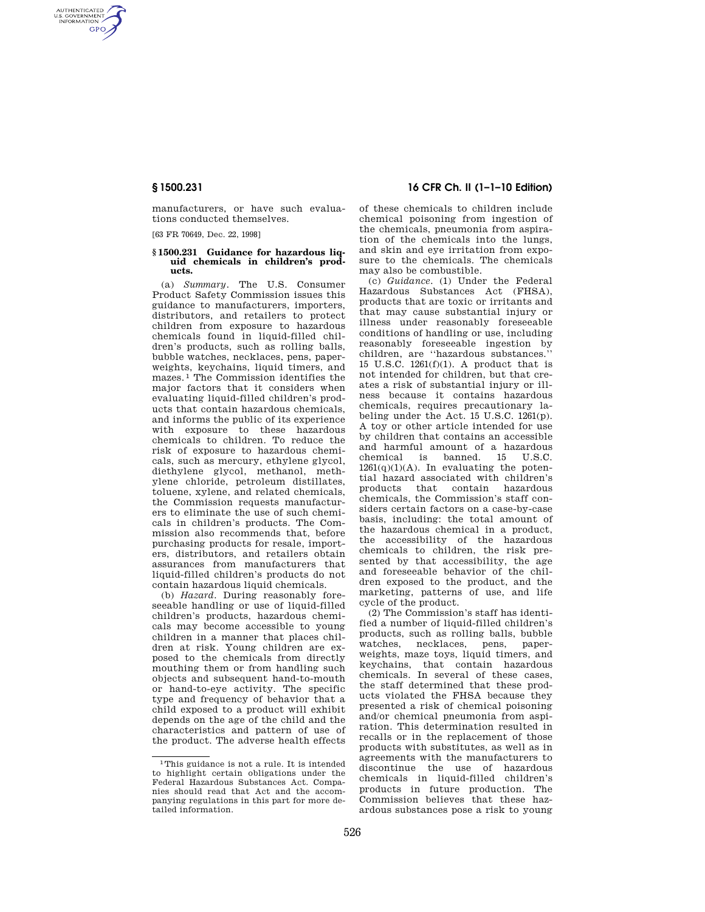AUTHENTICATED<br>U.S. GOVERNMENT<br>INFORMATION **GPO** 

> manufacturers, or have such evaluations conducted themselves.

[63 FR 70649, Dec. 22, 1998]

## **§ 1500.231 Guidance for hazardous liquid chemicals in children's products.**

(a) *Summary.* The U.S. Consumer Product Safety Commission issues this guidance to manufacturers, importers, distributors, and retailers to protect children from exposure to hazardous chemicals found in liquid-filled children's products, such as rolling balls, bubble watches, necklaces, pens, paperweights, keychains, liquid timers, and mazes. 1 The Commission identifies the major factors that it considers when evaluating liquid-filled children's products that contain hazardous chemicals, and informs the public of its experience with exposure to these hazardous chemicals to children. To reduce the risk of exposure to hazardous chemicals, such as mercury, ethylene glycol, diethylene glycol, methanol, methylene chloride, petroleum distillates, toluene, xylene, and related chemicals, the Commission requests manufacturers to eliminate the use of such chemicals in children's products. The Commission also recommends that, before purchasing products for resale, importers, distributors, and retailers obtain assurances from manufacturers that liquid-filled children's products do not contain hazardous liquid chemicals.

(b) *Hazard.* During reasonably foreseeable handling or use of liquid-filled children's products, hazardous chemicals may become accessible to young children in a manner that places children at risk. Young children are exposed to the chemicals from directly mouthing them or from handling such objects and subsequent hand-to-mouth or hand-to-eye activity. The specific type and frequency of behavior that a child exposed to a product will exhibit depends on the age of the child and the characteristics and pattern of use of the product. The adverse health effects

# **§ 1500.231 16 CFR Ch. II (1–1–10 Edition)**

of these chemicals to children include chemical poisoning from ingestion of the chemicals, pneumonia from aspiration of the chemicals into the lungs, and skin and eye irritation from exposure to the chemicals. The chemicals may also be combustible.

(c) *Guidance.* (1) Under the Federal Hazardous Substances Act (FHSA), products that are toxic or irritants and that may cause substantial injury or illness under reasonably foreseeable conditions of handling or use, including reasonably foreseeable ingestion by children, are ''hazardous substances.'' 15 U.S.C. 1261(f)(1). A product that is not intended for children, but that creates a risk of substantial injury or illness because it contains hazardous chemicals, requires precautionary labeling under the Act. 15 U.S.C. 1261(p). A toy or other article intended for use by children that contains an accessible and harmful amount of a hazardous chemical is banned. 15 U.S.C.  $1261(q)(1)(A)$ . In evaluating the potential hazard associated with children's products that contain hazardous chemicals, the Commission's staff considers certain factors on a case-by-case basis, including: the total amount of the hazardous chemical in a product, the accessibility of the hazardous chemicals to children, the risk presented by that accessibility, the age and foreseeable behavior of the children exposed to the product, and the marketing, patterns of use, and life cycle of the product.

(2) The Commission's staff has identified a number of liquid-filled children's products, such as rolling balls, bubble watches, necklaces, pens, paperweights, maze toys, liquid timers, and keychains, that contain hazardous chemicals. In several of these cases, the staff determined that these products violated the FHSA because they presented a risk of chemical poisoning and/or chemical pneumonia from aspiration. This determination resulted in recalls or in the replacement of those products with substitutes, as well as in agreements with the manufacturers to discontinue the use of hazardous chemicals in liquid-filled children's products in future production. The Commission believes that these hazardous substances pose a risk to young

<sup>1</sup>This guidance is not a rule. It is intended to highlight certain obligations under the Federal Hazardous Substances Act. Companies should read that Act and the accompanying regulations in this part for more detailed information.